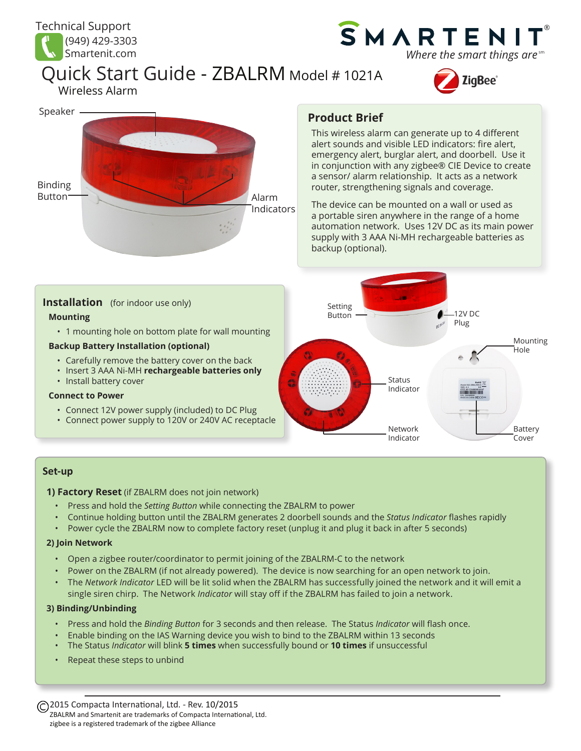

Wireless Alarm

## SMARTEN ® Where the smart things are<sup>sm</sup>

# Quick Start Guide - ZBALRM Model # 1021A







## **Product Brief**

This wireless alarm can generate up to 4 different alert sounds and visible LED indicators: fire alert, emergency alert, burglar alert, and doorbell. Use it in conjunction with any zigbee® CIE Device to create a sensor/ alarm relationship. It acts as a network router, strengthening signals and coverage.

The device can be mounted on a wall or used as a portable siren anywhere in the range of a home automation network. Uses 12V DC as its main power supply with 3 AAA Ni-MH rechargeable batteries as backup (optional).



#### **Set-up**

**1) Factory Reset** (if ZBALRM does not join network)

- Press and hold the *Setting Button* while connecting the ZBALRM to power
- Continue holding button until the ZBALRM generates 2 doorbell sounds and the *Status Indicator* flashes rapidly
- Power cycle the ZBALRM now to complete factory reset (unplug it and plug it back in after 5 seconds)

#### **2) Join Network**

- Open a zigbee router/coordinator to permit joining of the ZBALRM-C to the network
- Power on the ZBALRM (if not already powered). The device is now searching for an open network to join.
- The *Network Indicator* LED will be lit solid when the ZBALRM has successfully joined the network and it will emit a single siren chirp. The Network *Indicator* will stay off if the ZBALRM has failed to join a network.

#### **3) Binding/Unbinding**

- Press and hold the *Binding Button* for 3 seconds and then release. The Status *Indicator* will flash once.
- Enable binding on the IAS Warning device you wish to bind to the ZBALRM within 13 seconds
- The Status *Indicator* will blink **5 times** when successfully bound or **10 times** if unsuccessful
- Repeat these steps to unbind

2015 Compacta International, Ltd. - Rev. 10/2015 ZBALRM and Smartenit are trademarks of Compacta International, Ltd. zigbee is a registered trademark of the zigbee Alliance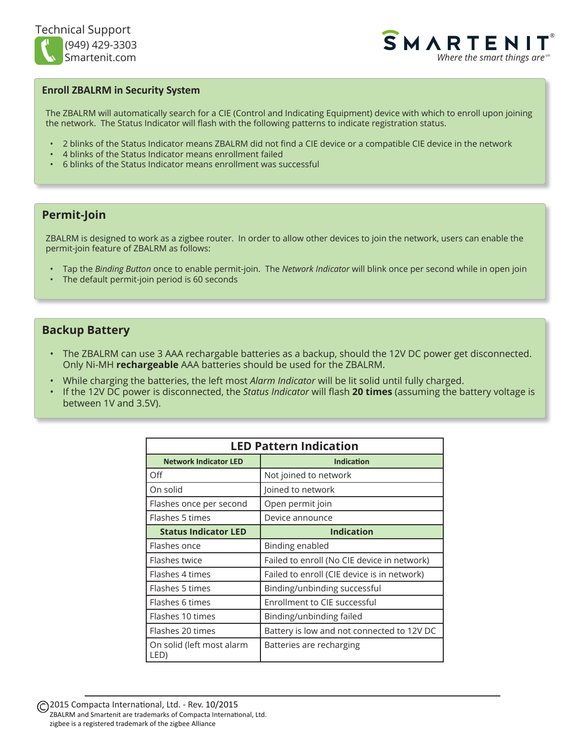

**SMARTENI** ® Where the smart things are  $\epsilon$ <sup>sm</sup>

#### **Enroll ZBALRM in Security System**

The ZBALRM will automatically search for a CIE (Control and Indicating Equipment) device with which to enroll upon joining the network. The Status Indicator will flash with the following patterns to indicate registration status.

- 2 blinks of the Status Indicator means ZBALRM did not find a CIE device or a compatible CIE device in the network
- 4 blinks of the Status Indicator means enrollment failed
- 6 blinks of the Status Indicator means enrollment was successful

### **Permit-Join**

ZBALRM is designed to work as a zigbee router. In order to allow other devices to join the network, users can enable the permit-join feature of ZBALRM as follows:

- Tap the *Binding Button* once to enable permit-join. The *Network Indicator* will blink once per second while in open join
- The default permit-join period is 60 seconds

#### **Backup Battery**

- The ZBALRM can use 3 AAA rechargable batteries as a backup, should the 12V DC power get disconnected. Only Ni-MH **rechargeable** AAA batteries should be used for the ZBALRM.
- While charging the batteries, the left most *Alarm Indicator* will be lit solid until fully charged.
- If the 12V DC power is disconnected, the *Status Indicator* will flash **20 times** (assuming the battery voltage is between 1V and 3.5V).

| <b>LED Pattern Indication</b>     |                                             |  |
|-----------------------------------|---------------------------------------------|--|
| <b>Network Indicator LED</b>      | <b>Indication</b>                           |  |
| Off                               | Not joined to network                       |  |
| On solid                          | Joined to network                           |  |
| Flashes once per second           | Open permit join                            |  |
| Flashes 5 times                   | Device announce                             |  |
| <b>Status Indicator LED</b>       | <b>Indication</b>                           |  |
| Flashes once                      | Binding enabled                             |  |
| Flashes twice                     | Failed to enroll (No CIE device in network) |  |
| Flashes 4 times                   | Failed to enroll (CIE device is in network) |  |
| Flashes 5 times                   | Binding/unbinding successful                |  |
| Flashes 6 times                   | Enrollment to CIE successful                |  |
| Flashes 10 times                  | Binding/unbinding failed                    |  |
| Flashes 20 times                  | Battery is low and not connected to 12V DC  |  |
| On solid (left most alarm<br>LED) | Batteries are recharging                    |  |